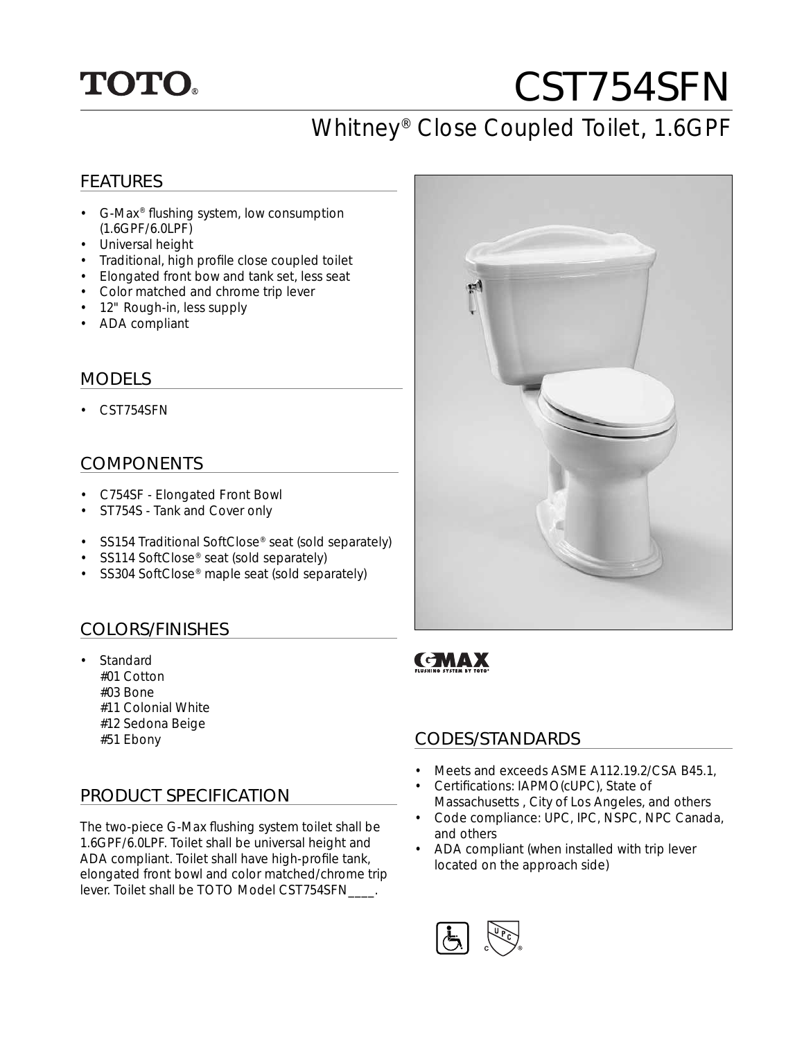## **TOTO.**

# CST754SFN

### Whitney® Close Coupled Toilet, 1.6GPF

### FEATURES

- G-Max<sup>®</sup> flushing system, low consumption (1.6GPF/6.0LPF)
- Universal height
- Traditional, high profile close coupled toilet
- Elongated front bow and tank set, less seat
- Color matched and chrome trip lever
- 12" Rough-in, less supply
- ADA compliant

#### MODELS

• CST754SFN

#### COMPONENTS

- C754SF Elongated Front Bowl
- ST754S Tank and Cover only
- SS154 Traditional SoftClose® seat (sold separately)
- SS114 SoftClose<sup>®</sup> seat (sold separately)
- SS304 SoftClose<sup>®</sup> maple seat (sold separately)

### COLORS/FINISHES

- Standard #01 Cotton #03 Bone
	-
	- #11 Colonial White
	- #12 Sedona Beige
	-

### PRODUCT SPECIFICATION

The two-piece G-Max flushing system toilet shall be 1.6GPF/6.0LPF. Toilet shall be universal height and ADA compliant. Toilet shall have high-profile tank, elongated front bowl and color matched/chrome trip lever. Toilet shall be TOTO Model CST754SFN\_\_\_\_.



### **GMAX**

### #51 Ebony CODES/STANDARDS

- Meets and exceeds ASME A112.19.2/CSA B45.1,
- Certifications: IAPMO(cUPC), State of Massachusetts , City of Los Angeles, and others
- Code compliance: UPC, IPC, NSPC, NPC Canada, and others
- ADA compliant (when installed with trip lever located on the approach side)